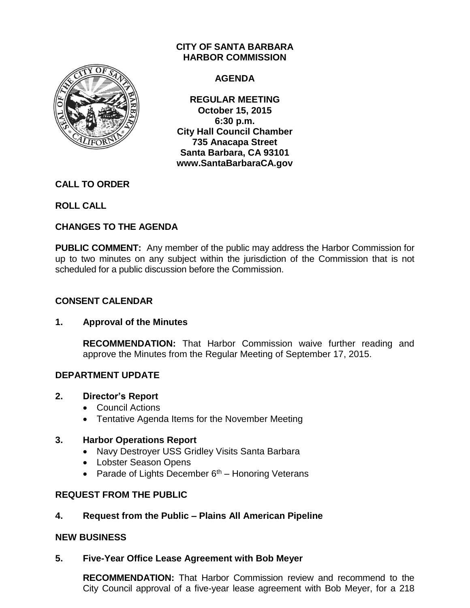

## **CITY OF SANTA BARBARA HARBOR COMMISSION**

### **AGENDA**

**REGULAR MEETING October 15, 2015 6:30 p.m. City Hall Council Chamber 735 Anacapa Street Santa Barbara, CA 93101 www.SantaBarbaraCA.gov**

## **CALL TO ORDER**

# **ROLL CALL**

# **CHANGES TO THE AGENDA**

**PUBLIC COMMENT:** Any member of the public may address the Harbor Commission for up to two minutes on any subject within the jurisdiction of the Commission that is not scheduled for a public discussion before the Commission.

## **CONSENT CALENDAR**

#### **1. Approval of the Minutes**

**RECOMMENDATION:** That Harbor Commission waive further reading and approve the Minutes from the Regular Meeting of September 17, 2015.

## **DEPARTMENT UPDATE**

#### **2. Director's Report**

- Council Actions
- Tentative Agenda Items for the November Meeting

#### **3. Harbor Operations Report**

- Navy Destroyer USS Gridley Visits Santa Barbara
- Lobster Season Opens
- Parade of Lights December  $6<sup>th</sup>$  Honoring Veterans

## **REQUEST FROM THE PUBLIC**

## **4. Request from the Public – Plains All American Pipeline**

#### **NEW BUSINESS**

## **5. Five-Year Office Lease Agreement with Bob Meyer**

**RECOMMENDATION:** That Harbor Commission review and recommend to the City Council approval of a five-year lease agreement with Bob Meyer, for a 218